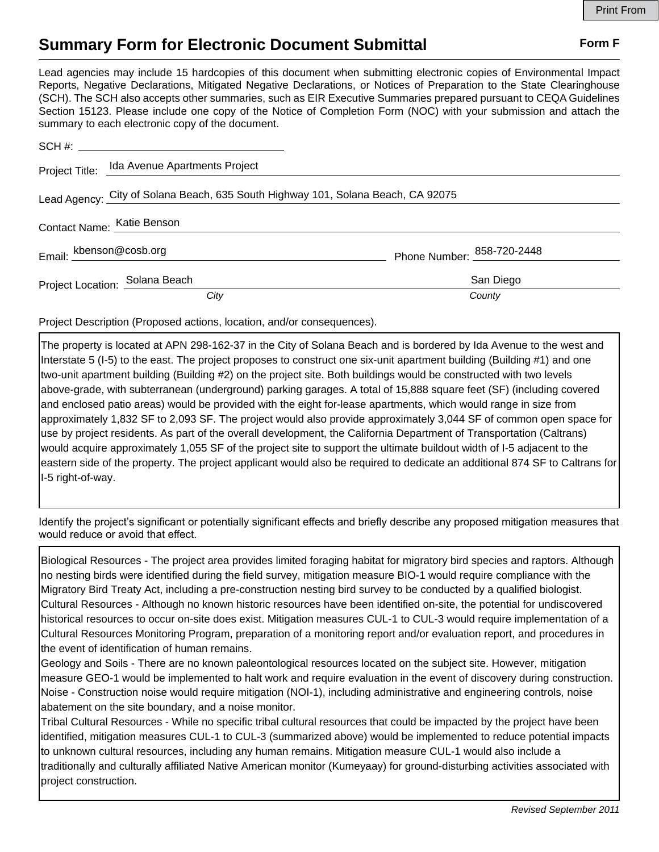## **Summary Form for Electronic Document Submittal Form F Form F**

Lead agencies may include 15 hardcopies of this document when submitting electronic copies of Environmental Impact Reports, Negative Declarations, Mitigated Negative Declarations, or Notices of Preparation to the State Clearinghouse (SCH). The SCH also accepts other summaries, such as EIR Executive Summaries prepared pursuant to CEQA Guidelines Section 15123. Please include one copy of the Notice of Completion Form (NOC) with your submission and attach the summary to each electronic copy of the document.

|                                                                                  | Project Title: Ida Avenue Apartments Project |                                       |
|----------------------------------------------------------------------------------|----------------------------------------------|---------------------------------------|
| Lead Agency: City of Solana Beach, 635 South Highway 101, Solana Beach, CA 92075 |                                              |                                       |
|                                                                                  | Contact Name: Katie Benson                   |                                       |
| Email: kbenson@cosb.org                                                          |                                              | Phone Number: <sup>858-720-2448</sup> |
|                                                                                  | Project Location: Solana Beach               | San Diego                             |
|                                                                                  | City                                         | County                                |

Project Description (Proposed actions, location, and/or consequences).

The property is located at APN 298-162-37 in the City of Solana Beach and is bordered by Ida Avenue to the west and Interstate 5 (I-5) to the east. The project proposes to construct one six-unit apartment building (Building #1) and one two-unit apartment building (Building #2) on the project site. Both buildings would be constructed with two levels above-grade, with subterranean (underground) parking garages. A total of 15,888 square feet (SF) (including covered and enclosed patio areas) would be provided with the eight for-lease apartments, which would range in size from approximately 1,832 SF to 2,093 SF. The project would also provide approximately 3,044 SF of common open space for use by project residents. As part of the overall development, the California Department of Transportation (Caltrans) would acquire approximately 1,055 SF of the project site to support the ultimate buildout width of I-5 adjacent to the eastern side of the property. The project applicant would also be required to dedicate an additional 874 SF to Caltrans for I-5 right-of-way.

Identify the project's significant or potentially significant effects and briefly describe any proposed mitigation measures that would reduce or avoid that effect.

Biological Resources - The project area provides limited foraging habitat for migratory bird species and raptors. Although no nesting birds were identified during the field survey, mitigation measure BIO-1 would require compliance with the Migratory Bird Treaty Act, including a pre-construction nesting bird survey to be conducted by a qualified biologist. Cultural Resources - Although no known historic resources have been identified on-site, the potential for undiscovered historical resources to occur on-site does exist. Mitigation measures CUL-1 to CUL-3 would require implementation of a Cultural Resources Monitoring Program, preparation of a monitoring report and/or evaluation report, and procedures in the event of identification of human remains.

Geology and Soils - There are no known paleontological resources located on the subject site. However, mitigation measure GEO-1 would be implemented to halt work and require evaluation in the event of discovery during construction. Noise - Construction noise would require mitigation (NOI-1), including administrative and engineering controls, noise abatement on the site boundary, and a noise monitor.

Tribal Cultural Resources - While no specific tribal cultural resources that could be impacted by the project have been identified, mitigation measures CUL-1 to CUL-3 (summarized above) would be implemented to reduce potential impacts to unknown cultural resources, including any human remains. Mitigation measure CUL-1 would also include a traditionally and culturally affiliated Native American monitor (Kumeyaay) for ground-disturbing activities associated with project construction.